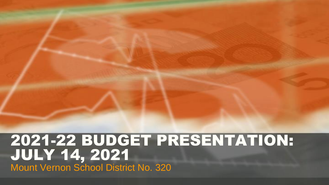## 2021-22 BUDGET PRESENTATION: JULY 14, 2021 Mount Vernon School District No. 320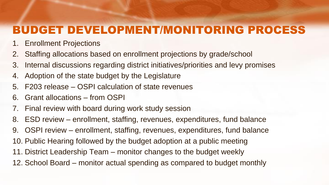## BUDGET DEVELOPMENT/MONITORING PROCESS

- 1. Enrollment Projections
- 2. Staffing allocations based on enrollment projections by grade/school
- 3. Internal discussions regarding district initiatives/priorities and levy promises
- 4. Adoption of the state budget by the Legislature
- 5. F203 release OSPI calculation of state revenues
- 6. Grant allocations from OSPI
- 7. Final review with board during work study session
- 8. ESD review enrollment, staffing, revenues, expenditures, fund balance
- 9. OSPI review enrollment, staffing, revenues, expenditures, fund balance
- 10. Public Hearing followed by the budget adoption at a public meeting
- 11. District Leadership Team monitor changes to the budget weekly
- 12. School Board monitor actual spending as compared to budget monthly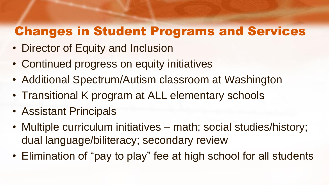# Changes in Student Programs and Services

- Director of Equity and Inclusion
- Continued progress on equity initiatives
- Additional Spectrum/Autism classroom at Washington
- Transitional K program at ALL elementary schools
- Assistant Principals
- Multiple curriculum initiatives math; social studies/history; dual language/biliteracy; secondary review
- Elimination of "pay to play" fee at high school for all students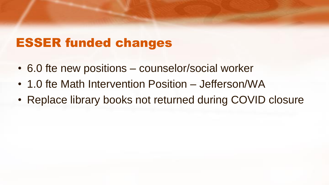# ESSER funded changes

- 6.0 fte new positions counselor/social worker
- 1.0 fte Math Intervention Position Jefferson/WA
- Replace library books not returned during COVID closure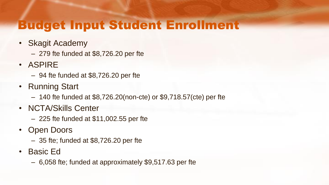## Budget Input Student Enrollment

- Skagit Academy
	- 279 fte funded at \$8,726.20 per fte
- ASPIRE
	- 94 fte funded at \$8,726.20 per fte
- Running Start
	- 140 fte funded at \$8,726.20(non-cte) or \$9,718.57(cte) per fte
- NCTA/Skills Center
	- 225 fte funded at \$11,002.55 per fte
- Open Doors
	- 35 fte; funded at \$8,726.20 per fte
- Basic Ed
	- 6,058 fte; funded at approximately \$9,517.63 per fte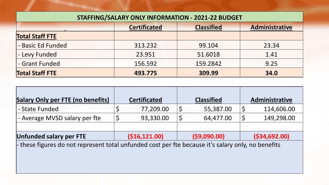| <b>STAFFING/SALARY ONLY INFORMATION - 2021-22 BUDGET</b>   |         |          |       |  |  |  |  |
|------------------------------------------------------------|---------|----------|-------|--|--|--|--|
| <b>Certificated</b><br><b>Classified</b><br>Administrative |         |          |       |  |  |  |  |
| <b>Total Staff FTE</b>                                     |         |          |       |  |  |  |  |
| - Basic Ed Funded                                          | 313.232 | 99.104   | 23.34 |  |  |  |  |
| - Levy Funded                                              | 23.951  | 51.6018  | 1.41  |  |  |  |  |
| - Grant Funded                                             | 156.592 | 159.2842 | 9.25  |  |  |  |  |
| <b>Total Staff FTE</b>                                     | 493.775 | 309.99   | 34.0  |  |  |  |  |

| <b>Salary Only per FTE (no benefits)</b>                                                                                 |   | <b>Certificated</b> |  | <b>Classified</b> |  | Administrative  |
|--------------------------------------------------------------------------------------------------------------------------|---|---------------------|--|-------------------|--|-----------------|
| - State Funded                                                                                                           |   | 77,209.00           |  | 55,387.00         |  | 114,606.00      |
| - Average MVSD salary per fte                                                                                            | Ş | 93,330.00           |  | 64,477.00         |  | 149,298.00      |
|                                                                                                                          |   |                     |  |                   |  |                 |
| <b>Unfunded salary per FTE</b>                                                                                           |   | (516, 121.00)       |  | ( \$9,090.00)     |  | ( \$34, 692.00) |
| المنائلة ومجارحات والمتحاومات والناروجي وجراحيا ويتكون والمجارون والمسائل المنجنة لتسمع وسووس لتجوز والمحسورية الكروماني |   |                     |  |                   |  |                 |

- these figures do not represent total unfunded cost per fte because it's salary only, no benefits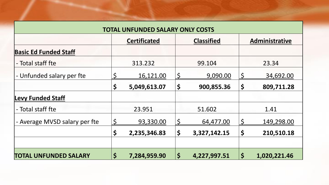| <b>TOTAL UNFUNDED SALARY ONLY COSTS</b> |              |                                                            |                      |              |             |              |  |
|-----------------------------------------|--------------|------------------------------------------------------------|----------------------|--------------|-------------|--------------|--|
|                                         |              | <b>Classified</b><br>Administrative<br><b>Certificated</b> |                      |              |             |              |  |
| <b>Basic Ed Funded Staff</b>            |              |                                                            |                      |              |             |              |  |
| - Total staff fte                       |              | 313.232                                                    |                      | 99.104       |             | 23.34        |  |
| - Unfunded salary per fte               | \$           | 16,121.00                                                  | $\varsigma$          | 9,090.00     | $\mathsf S$ | 34,692.00    |  |
|                                         | \$           | 5,049,613.07                                               | \$                   | 900,855.36   | \$          | 809,711.28   |  |
| <b>Levy Funded Staff</b>                |              |                                                            |                      |              |             |              |  |
| - Total staff fte                       |              | 23.951                                                     |                      | 51.602       |             | 1.41         |  |
| - Average MVSD salary per fte           | $\mathsf{S}$ | 93,330.00                                                  |                      | 64,477.00    |             | 149,298.00   |  |
|                                         | \$           | 2,235,346.83                                               | $\boldsymbol{\zeta}$ | 3,327,142.15 | \$          | 210,510.18   |  |
|                                         |              |                                                            |                      |              |             |              |  |
| <b>TOTAL UNFUNDED SALARY</b>            | \$           | 7,284,959.90                                               | $\varsigma$          | 4,227,997.51 | \$          | 1,020,221.46 |  |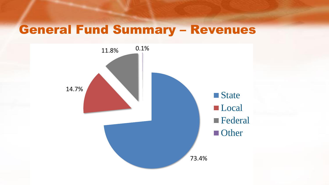# General Fund Summary – Revenues

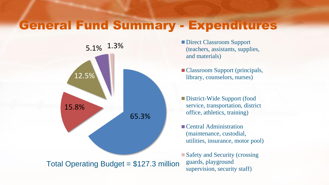#### General Fund Summary - Expenditures



- (teachers, assistants, supplies, and materials)
- Classroom Support (principals, library, counselors, nurses)
- District-Wide Support (food service, transportation, district office, athletics, training)
- Central Administration (maintenance, custodial, utilities, insurance, motor pool)

■ Safety and Security (crossing guards, playground supervision, security staff)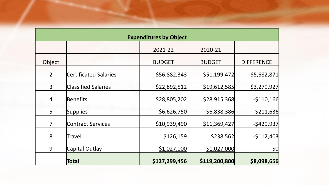| <b>Expenditures by Object</b> |                              |               |               |                   |  |  |  |  |
|-------------------------------|------------------------------|---------------|---------------|-------------------|--|--|--|--|
|                               |                              | 2021-22       | 2020-21       |                   |  |  |  |  |
| Object                        |                              | <b>BUDGET</b> | <b>BUDGET</b> | <b>DIFFERENCE</b> |  |  |  |  |
| $\overline{2}$                | <b>Certificated Salaries</b> | \$56,882,343  | \$51,199,472  | \$5,682,871       |  |  |  |  |
| $\mathsf{3}$                  | <b>Classified Salaries</b>   | \$22,892,512  | \$19,612,585  | \$3,279,927       |  |  |  |  |
| 4                             | Benefits                     | \$28,805,202  | \$28,915,368  | $-5110,166$       |  |  |  |  |
| 5                             | Supplies                     | \$6,626,750   | \$6,838,386   | $-5211,636$       |  |  |  |  |
| $\overline{7}$                | <b>Contract Services</b>     | \$10,939,490  | \$11,369,427  | $-5429,937$       |  |  |  |  |
| 8                             | Travel                       | \$126,159     | \$238,562     | $-5112,403$       |  |  |  |  |
| 9                             | Capital Outlay               | \$1,027,000   | \$1,027,000   | 50                |  |  |  |  |
|                               | Total                        | \$127,299,456 | \$119,200,800 | \$8,098,656       |  |  |  |  |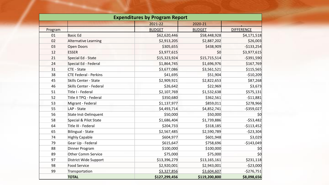| <b>Expenditures by Program Report</b> |                              |               |               |                   |  |  |  |
|---------------------------------------|------------------------------|---------------|---------------|-------------------|--|--|--|
|                                       |                              | 2021-22       | 2020-21       |                   |  |  |  |
| Program                               |                              | <b>BUDGET</b> | <b>BUDGET</b> | <b>DIFFERENCE</b> |  |  |  |
| 01                                    | <b>Basic Ed</b>              | \$62,620,446  | \$58,448,928  | \$4,171,518       |  |  |  |
| 02                                    | Alternative Learning         | \$2,913,205   | \$2,887,202   | \$26,003          |  |  |  |
| 03                                    | <b>Open Doors</b>            | \$305,655     | \$438,909     | $-$133,254$       |  |  |  |
| 12                                    | <b>ESSER</b>                 | \$3,977,615   | \$0           | \$3,977,615       |  |  |  |
| 21                                    | Special Ed - State           | \$15,323,924  | \$15,715,514  | $-$ \$391,590     |  |  |  |
| 24                                    | Special Ed - Federal         | \$1,864,745   | \$1,696,976   | \$167,769         |  |  |  |
| 31                                    | <b>CTE - State</b>           | \$3,677,086   | \$3,561,521   | \$115,565         |  |  |  |
| 38                                    | <b>CTE Federal - Perkins</b> | \$41,695      | \$51,904      | $-$10,209$        |  |  |  |
| 45                                    | <b>Skills Center - State</b> | \$2,909,921   | \$2,822,653   | \$87,268          |  |  |  |
| 46                                    | Skills Center - Federal      | \$26,642      | \$22,969      | \$3,673           |  |  |  |
| 51                                    | Title I - Federal            | \$2,107,769   | \$1,532,638   | \$575,131         |  |  |  |
| 52                                    | Title II TPQ - Federal       | \$350,680     | \$362,561     | $-$11,881$        |  |  |  |
| 53                                    | Migrant - Federal            | \$1,137,977   | \$859,011     | \$278,966         |  |  |  |
| 55                                    | LAP - State                  | \$4,493,714   | \$4,852,741   | $-$ \$359,027     |  |  |  |
| 56                                    | State Inst-Delinquent        | \$50,000      | \$50,000      | \$0               |  |  |  |
| 58                                    | Special & Pilot State        | \$1,686,404   | \$1,739,886   | $-$53,482$        |  |  |  |
| 64                                    | Title III - Federal          | \$204,733     | \$318,185     | $-$113,452$       |  |  |  |
| 65                                    | <b>Bilingual - State</b>     | \$2,567,485   | \$2,590,789   | $-$ \$23,304      |  |  |  |
| 74                                    | <b>Highly Capable</b>        | \$604,977     | \$601,948     | \$3,029           |  |  |  |
| 79                                    | Gear Up - Federal            | \$615,647     | \$758,696     | $-$143,049$       |  |  |  |
| 88                                    | Dinner Program               | \$100,000     | \$100,000     | \$0               |  |  |  |
| 89                                    | <b>Other Comm Service</b>    | \$75,000      | \$75,000      | 50                |  |  |  |
| 97                                    | District Wide Support        | \$13,396,279  | \$13,165,161  | \$231,118         |  |  |  |
| 98                                    | <b>Food Service</b>          | \$2,920,001   | \$2,943,001   | $-$ \$23,000      |  |  |  |
| 99                                    | Transportation               | \$3,327,856   | \$3,604,607   | $-5276,751$       |  |  |  |
|                                       | <b>TOTAL</b>                 | \$127,299,456 | \$119,200,800 | \$8,098,656       |  |  |  |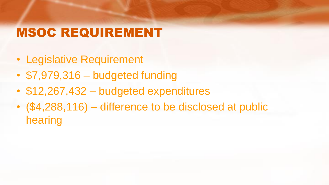# MSOC REQUIREMENT

- Legislative Requirement
- \$7,979,316 budgeted funding
- \$12,267,432 budgeted expenditures
- (\$4,288,116) difference to be disclosed at public hearing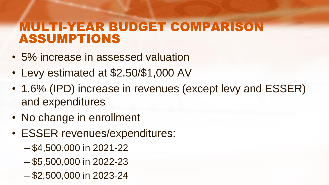## MULTI-YEAR BUDGET COMPARISON ASSUMPTIONS

- 5% increase in assessed valuation
- Levy estimated at \$2.50/\$1,000 AV
- 1.6% (IPD) increase in revenues (except levy and ESSER) and expenditures
- No change in enrollment
- ESSER revenues/expenditures:
	- \$4,500,000 in 2021-22
	- \$5,500,000 in 2022-23
	- \$2,500,000 in 2023-24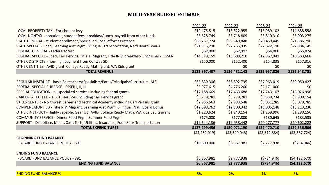#### **MULTI-YEAR BUDGET ESTIMATE**

|                                                                                                   | 2021-22        | 2022-23        | 2023-24       | 2024-25        |
|---------------------------------------------------------------------------------------------------|----------------|----------------|---------------|----------------|
| LOCAL PROPERTY TAX - Enrichment levy                                                              | \$12,475,515   | \$13,322,955   | \$13,989,102  | \$14,688,558   |
| LOCAL NONTAX - donations, student fees, breakfast/lunch, payroll from other funds                 | \$5,628,749    | \$5,718,809    | \$5,810,310   | \$5,903,275    |
| STATE GENERAL - student enrollment, Special ed, local effort assistance                           | \$68,257,724   | \$69,349,848   | \$70,459,445  | \$71,586,796   |
| STATE SPECIAL - Sped, Learning Asst Prgm, Bilingual, Transportation, Nat'l Board Bonus            | \$21,915,290   | \$22,265,935   | \$22,622,190  | \$22,984,145   |
| <b>FEDERAL GENERAL - Federal forest</b>                                                           | \$62,000       | \$62,992       | \$64,000      | \$65,024       |
| FEDERAL SPECIAL - Sped, Carl Perkins, Title 1, Migrant, Title II-IV, breakfast/lunch/snack, ESSER | \$14,378,159   | \$15,608,210   | \$12,857,941  | \$10,563,668   |
| OTHER DISTRICTS - non-high payment from Conway SD                                                 | \$150,000      | \$152,400      | \$154,838     | \$157,316      |
| OTHER ENTITIES - AVID grant, College Ready Math grant, WA Kids grant                              |                | \$0            | \$0           | \$0            |
| <b>TOTAL REVENUE</b>                                                                              | \$122,867,437  | \$126,481,148  | \$125,957,826 | \$125,948,781  |
| REGULAR INSTRUCT - Basic Ed teachers/Specialists/Paras/Principals/Curriculum, ALE                 | \$65,839,306   | \$66,892,735   | \$67,963,019  | \$69,050,427   |
| FEDERAL SPECIAL PURPOSE - ESSER I, II, III                                                        | \$3,977,615    | \$4,776,200    | \$2,171,000   | \$0            |
| SPECIAL EDUCATION - all special ed services including federal grants                              | \$17,188,669   | \$17,463,688   | \$17,743,107  | \$18,026,996   |
| CAREER & TECH ED - all CTE services including Carl Perkins grant                                  | \$3,718,781    | \$3,778,281    | \$3,838,734   | \$3,900,154    |
| SKILLS CENTER - Northwest Career and Technical Academy including Carl Perkins grant               | \$2,936,563    | \$2,983,548    | \$3,031,285   | \$3,079,785    |
| COMPENSATORY ED - Title I-IV, Migrant, Learning Asst Prgm, Bilingual, Nat'l Board Bonus           | \$12,598,762   | \$12,800,342   | \$13,005,148  | \$13,213,230   |
| OTHER INSTRUCT - Highly capable, Gear Up, AVID, College Ready Math, WA Kids, Javits grant         | \$1,220,624    | \$1,240,154    | \$1,259,996   | \$1,280,156    |
| COMMUNITY SERVICE - Dinner Food Prgm, Summer Food Prgm                                            | \$175,000      | \$177,800      | \$180,645     | \$183,535      |
| SUPPORT - Dist office, Maint/Cust, Tech, Utilities, Insurance, Food Serv, Transportation          | \$19,644,136   | \$19,958,442   | \$20,277,777  | \$20,602,222   |
| <b>TOTAL EXPENDITURES</b>                                                                         | \$127,299,456  | \$130,071,190  | \$129,470,710 | \$129,336,506  |
|                                                                                                   | (54, 432, 019) | ( \$3,590,043) | (53,512,884)  | ( \$3,387,724) |
| <b>BEGINNING FUND BALANCE</b>                                                                     |                |                |               |                |
| -BOARD FUND BALANCE POLICY - 891                                                                  | \$10,800,000   | \$6,367,981    | \$2,777,938   | (5734, 946)    |
|                                                                                                   |                |                |               |                |
| <b>ENDING FUND BALANCE</b>                                                                        |                |                |               |                |
| -BOARD FUND BALANCE POLICY - 891                                                                  | \$6,367,981    | \$2,777,938    | (5734, 946)   | (54, 122, 670) |
| <b>ENDING FUND BALANCE</b>                                                                        | \$6,367,981    | \$2,777,938    | ( \$734, 946) | (54, 122, 670) |
|                                                                                                   |                |                |               |                |
| <b>ENDING FUND BALANCE %</b>                                                                      | 5%             | 2%             | $-1%$         | $-3%$          |